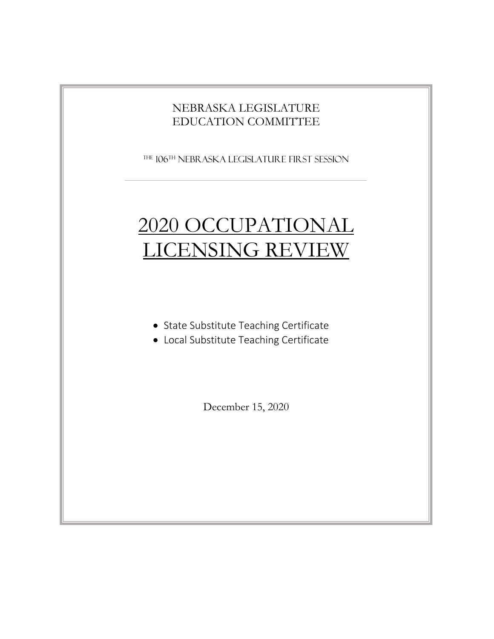### NEBRASKA LEGISLATURE EDUCATION COMMITTEE

The 106 th Nebraska Legislature FIRST SESSION

# 2020 OCCUPATIONAL LICENSING REVIEW

- State Substitute Teaching Certificate
- Local Substitute Teaching Certificate

December 15, 2020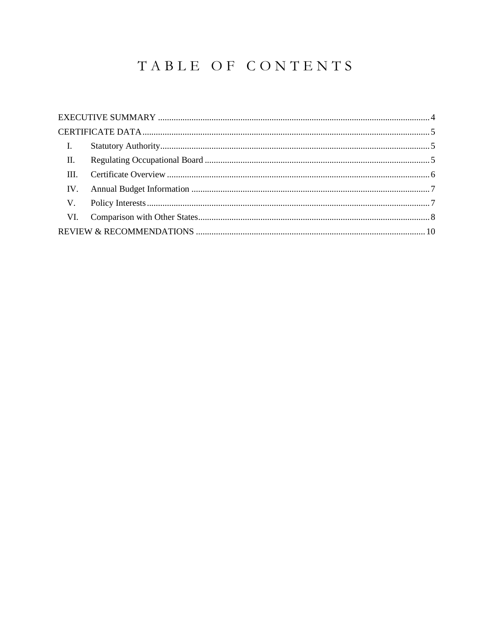# TABLE OF CONTENTS

| $\mathbf{I}$ .  |  |
|-----------------|--|
| $\mathbf{II}$ . |  |
|                 |  |
|                 |  |
|                 |  |
|                 |  |
|                 |  |
|                 |  |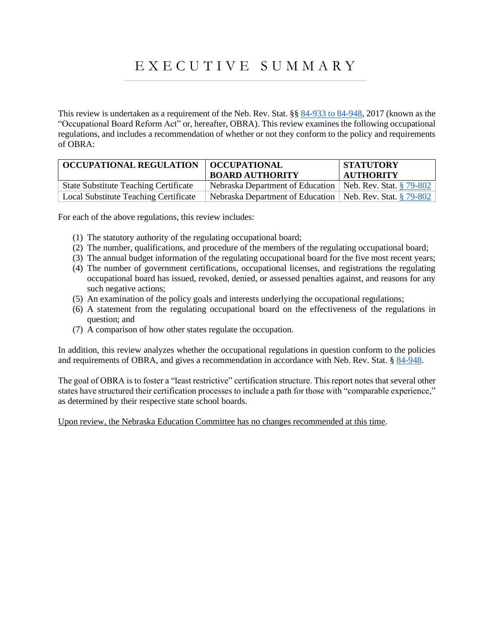# E X E C U T I V E S U M M A R Y

<span id="page-3-0"></span>This review is undertaken as a requirement of the Neb. Rev. Stat. §§ [84-933 to 84-948,](https://nebraskalegislature.gov/laws/display_html.php?begin_section=84-933&end_section=84-948) 2017 (known as the "Occupational Board Reform Act" or, hereafter, OBRA). This review examines the following occupational regulations, and includes a recommendation of whether or not they conform to the policy and requirements of OBRA:

| <b>OCCUPATIONAL REGULATION</b>               | OCCUPATIONAL<br><b>BOARD AUTHORITY</b>                      | <b>STATUTORY</b><br><b>AUTHORITY</b> |
|----------------------------------------------|-------------------------------------------------------------|--------------------------------------|
| <b>State Substitute Teaching Certificate</b> | Nebraska Department of Education                            | Neb. Rev. Stat. § 79-802             |
| <b>Local Substitute Teaching Certificate</b> | Nebraska Department of Education   Neb. Rev. Stat. § 79-802 |                                      |

For each of the above regulations, this review includes:

- (1) The statutory authority of the regulating occupational board;
- (2) The number, qualifications, and procedure of the members of the regulating occupational board;
- (3) The annual budget information of the regulating occupational board for the five most recent years;
- (4) The number of government certifications, occupational licenses, and registrations the regulating occupational board has issued, revoked, denied, or assessed penalties against, and reasons for any such negative actions;
- (5) An examination of the policy goals and interests underlying the occupational regulations;
- (6) A statement from the regulating occupational board on the effectiveness of the regulations in question; and
- (7) A comparison of how other states regulate the occupation.

In addition, this review analyzes whether the occupational regulations in question conform to the policies and requirements of OBRA, and gives a recommendation in accordance with Neb. Rev. Stat. § [84-948.](https://nebraskalegislature.gov/laws/statutes.php?statute=84-948)

The goal of OBRA is to foster a "least restrictive" certification structure. This report notes that several other states have structured their certification processes to include a path for those with "comparable experience," as determined by their respective state school boards.

Upon review, the Nebraska Education Committee has no changes recommended at this time.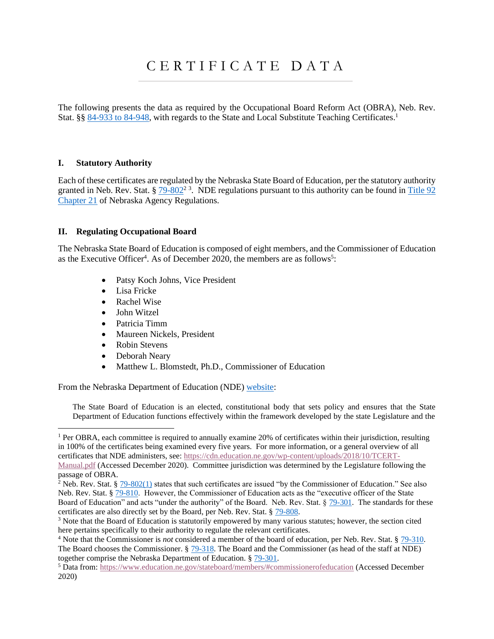## C E R T I F I C A T E D A T A

<span id="page-4-0"></span>The following presents the data as required by the Occupational Board Reform Act (OBRA), Neb. Rev. Stat. §§ [84-933 to 84-948,](https://nebraskalegislature.gov/laws/display_html.php?begin_section=84-933&end_section=84-948) with regards to the State and Local Substitute Teaching Certificates.<sup>1</sup>

#### <span id="page-4-1"></span>**I. Statutory Authority**

Each of these certificates are regulated by the Nebraska State Board of Education, per the statutory authority granted in Neb. Rev. Stat.  $\S 79-802^2$  $\S 79-802^2$  $\S 79-802^2$ <sup>3</sup>. NDE regulations pursuant to this authority can be found in Title 92 [Chapter 21](https://www.nebraska.gov/rules-and-regs/regsearch/Rules/Education_Dept_of/Title-92/Chapter-21.pdf) of Nebraska Agency Regulations.

#### <span id="page-4-2"></span>**II. Regulating Occupational Board**

The Nebraska State Board of Education is composed of eight members, and the Commissioner of Education as the Executive Officer<sup>4</sup>. As of December 2020, the members are as follows<sup>5</sup>:

- Patsy Koch Johns, Vice President
- Lisa Fricke
- Rachel Wise
- John Witzel
- Patricia Timm
- Maureen Nickels, President
- Robin Stevens
- Deborah Neary
- Matthew L. Blomstedt, Ph.D., Commissioner of Education

From the Nebraska Department of Education (NDE[\) website:](https://www.education.ne.gov/stateboard/background/)

The State Board of Education is an elected, constitutional body that sets policy and ensures that the State Department of Education functions effectively within the framework developed by the state Legislature and the

 $1$  Per OBRA, each committee is required to annually examine 20% of certificates within their jurisdiction, resulting in 100% of the certificates being examined every five years. For more information, or a general overview of all certificates that NDE administers, see: [https://cdn.education.ne.gov/wp-content/uploads/2018/10/TCERT-](https://cdn.education.ne.gov/wp-content/uploads/2018/10/TCERT-Manual.pdf)

[Manual.pdf](https://cdn.education.ne.gov/wp-content/uploads/2018/10/TCERT-Manual.pdf) (Accessed December 2020). Committee jurisdiction was determined by the Legislature following the passage of OBRA.

<sup>&</sup>lt;sup>2</sup> Neb. Rev. Stat. §  $79-802(1)$  states that such certificates are issued "by the Commissioner of Education." See also Neb. Rev. Stat. § [79-810.](https://nebraskalegislature.gov/laws/statutes.php?statute=79-810) However, the Commissioner of Education acts as the "executive officer of the State" Board of Education" and acts "under the authority" of the Board. Neb. Rev. Stat. § [79-301.](https://nebraskalegislature.gov/laws/statutes.php?statute=79-301) The standards for these certificates are also directly set by the Board, per Neb. Rev. Stat. § [79-808.](https://nebraskalegislature.gov/laws/statutes.php?statute=79-808)

<sup>&</sup>lt;sup>3</sup> Note that the Board of Education is statutorily empowered by many various statutes; however, the section cited here pertains specifically to their authority to regulate the relevant certificates.

<sup>4</sup> Note that the Commissioner is *not* considered a member of the board of education, per Neb. Rev. Stat. § [79-310.](https://nebraskalegislature.gov/laws/statutes.php?statute=79-310) The Board chooses the Commissioner. [§ 79-318.](https://nebraskalegislature.gov/laws/statutes.php?statute=79-318) The Board and the Commissioner (as head of the staff at NDE) together comprise the Nebraska Department of Education. § [79-301.](https://nebraskalegislature.gov/laws/statutes.php?statute=79-301)

<sup>5</sup> Data from:<https://www.education.ne.gov/stateboard/members/#commissionerofeducation> (Accessed December 2020)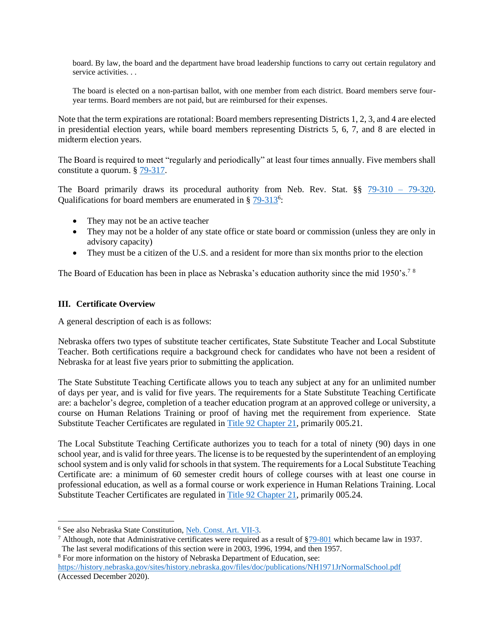board. By law, the board and the department have broad leadership functions to carry out certain regulatory and service activities. . .

The board is elected on a non-partisan ballot, with one member from each district. Board members serve fouryear terms. Board members are not paid, but are reimbursed for their expenses.

Note that the term expirations are rotational: Board members representing Districts 1, 2, 3, and 4 are elected in presidential election years, while board members representing Districts 5, 6, 7, and 8 are elected in midterm election years.

The Board is required to meet "regularly and periodically" at least four times annually. Five members shall constitute a quorum. § [79-317.](https://nebraskalegislature.gov/laws/statutes.php?statute=79-317)

The Board primarily draws its procedural authority from Neb. Rev. Stat. §§ 79-310 - 79-320. Qualifications for board members are enumerated in § [79-313](https://nebraskalegislature.gov/laws/statutes.php?statute=79-313)<sup>6</sup>:

- They may not be an active teacher
- They may not be a holder of any state office or state board or commission (unless they are only in advisory capacity)
- They must be a citizen of the U.S. and a resident for more than six months prior to the election

The Board of Education has been in place as Nebraska's education authority since the mid 1950's.<sup>78</sup>

#### <span id="page-5-0"></span>**III. Certificate Overview**

A general description of each is as follows:

Nebraska offers two types of substitute teacher certificates, State Substitute Teacher and Local Substitute Teacher. Both certifications require a background check for candidates who have not been a resident of Nebraska for at least five years prior to submitting the application.

The State Substitute Teaching Certificate allows you to teach any subject at any for an unlimited number of days per year, and is valid for five years. The requirements for a State Substitute Teaching Certificate are: a bachelor's degree, completion of a teacher education program at an approved college or university, a course on Human Relations Training or proof of having met the requirement from experience. State Substitute Teacher Certificates are regulated i[n Title 92 Chapter 21,](https://www.nebraska.gov/rules-and-regs/regsearch/Rules/Education_Dept_of/Title-92/Chapter-21.pdf) primarily 005.21.

The Local Substitute Teaching Certificate authorizes you to teach for a total of ninety (90) days in one school year, and is valid for three years. The license is to be requested by the superintendent of an employing school system and is only valid for schools in that system. The requirements for a Local Substitute Teaching Certificate are: a minimum of 60 semester credit hours of college courses with at least one course in professional education, as well as a formal course or work experience in Human Relations Training. Local Substitute Teacher Certificates are regulated i[n Title 92 Chapter 21,](https://www.nebraska.gov/rules-and-regs/regsearch/Rules/Education_Dept_of/Title-92/Chapter-21.pdf) primarily 005.24.

<sup>8</sup> For more information on the history of Nebraska Department of Education, see:

<sup>6</sup> See also Nebraska State Constitution, [Neb. Const. Art. VII-3.](https://nebraskalegislature.gov/laws/articles.php?article=VII-3)

<sup>&</sup>lt;sup>7</sup> Although, note that Administrative certificates were required as a result of  $\S$ 79-801 which became law in 1937. The last several modifications of this section were in 2003, 1996, 1994, and then 1957.

<https://history.nebraska.gov/sites/history.nebraska.gov/files/doc/publications/NH1971JrNormalSchool.pdf> (Accessed December 2020).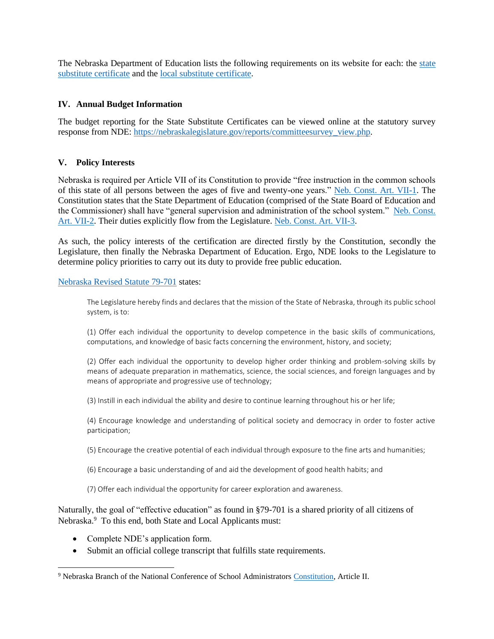The Nebraska Department of Education lists the following requirements on its website for each: the [state](https://dc2.education.ne.gov/tc_interactive_teaching2/TeachingStateSubPermit.aspx)  [substitute certificate](https://dc2.education.ne.gov/tc_interactive_teaching2/TeachingStateSubPermit.aspx) and the [local substitute certificate.](https://dc2.education.ne.gov/tc_interactive_teaching2/TeachingLocalSubPermit.aspx)

#### <span id="page-6-0"></span>**IV. Annual Budget Information**

The budget reporting for the State Substitute Certificates can be viewed online at the statutory survey response from NDE: [https://nebraskalegislature.gov/reports/committeesurvey\\_view.php.](https://nebraskalegislature.gov/reports/committeesurvey_view.php)

#### <span id="page-6-1"></span>**V. Policy Interests**

Nebraska is required per Article VII of its Constitution to provide "free instruction in the common schools of this state of all persons between the ages of five and twenty-one years." [Neb. Const. Art. VII-1.](https://nebraskalegislature.gov/laws/articles.php?article=VII-1) The Constitution states that the State Department of Education (comprised of the State Board of Education and the Commissioner) shall have "general supervision and administration of the school system." [Neb. Const.](https://nebraskalegislature.gov/laws/articles.php?article=VII-2)  [Art. VII-2.](https://nebraskalegislature.gov/laws/articles.php?article=VII-2) Their duties explicitly flow from the Legislature. [Neb. Const. Art. VII-3.](https://nebraskalegislature.gov/laws/articles.php?article=VII-3)

As such, the policy interests of the certification are directed firstly by the Constitution, secondly the Legislature, then finally the Nebraska Department of Education. Ergo, NDE looks to the Legislature to determine policy priorities to carry out its duty to provide free public education.

[Nebraska Revised Statute 79-701](https://nebraskalegislature.gov/laws/statutes.php?statute=79-701) states:

The Legislature hereby finds and declares that the mission of the State of Nebraska, through its public school system, is to:

(1) Offer each individual the opportunity to develop competence in the basic skills of communications, computations, and knowledge of basic facts concerning the environment, history, and society;

(2) Offer each individual the opportunity to develop higher order thinking and problem-solving skills by means of adequate preparation in mathematics, science, the social sciences, and foreign languages and by means of appropriate and progressive use of technology;

(3) Instill in each individual the ability and desire to continue learning throughout his or her life;

(4) Encourage knowledge and understanding of political society and democracy in order to foster active participation;

(5) Encourage the creative potential of each individual through exposure to the fine arts and humanities;

- (6) Encourage a basic understanding of and aid the development of good health habits; and
- (7) Offer each individual the opportunity for career exploration and awareness.

Naturally, the goal of "effective education" as found in §79-701 is a shared priority of all citizens of Nebraska.<sup>9</sup> To this end, both State and Local Applicants must:

- Complete NDE's application form.
- Submit an official college transcript that fulfills state requirements.

<sup>9</sup> Nebraska Branch of the National Conference of School Administrators [Constitution,](https://www.ncsa.org/organization-and-structure#constitution) Article II.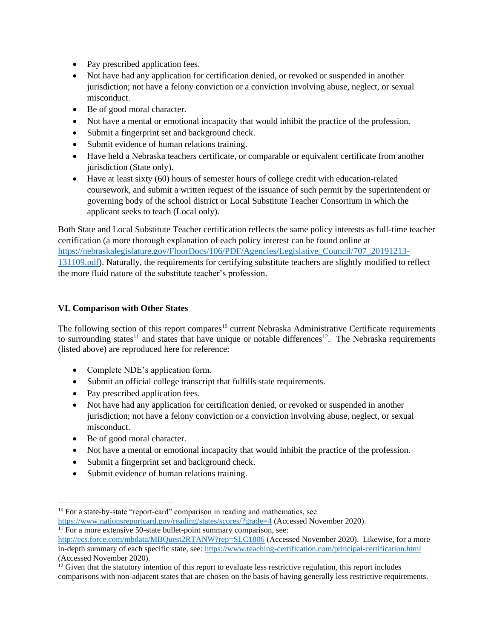- Pay prescribed application fees.
- Not have had any application for certification denied, or revoked or suspended in another jurisdiction; not have a felony conviction or a conviction involving abuse, neglect, or sexual misconduct.
- Be of good moral character.
- Not have a mental or emotional incapacity that would inhibit the practice of the profession.
- Submit a fingerprint set and background check.
- Submit evidence of human relations training.
- Have held a Nebraska teachers certificate, or comparable or equivalent certificate from another jurisdiction (State only).
- Have at least sixty (60) hours of semester hours of college credit with education-related coursework, and submit a written request of the issuance of such permit by the superintendent or governing body of the school district or Local Substitute Teacher Consortium in which the applicant seeks to teach (Local only).

Both State and Local Substitute Teacher certification reflects the same policy interests as full-time teacher certification (a more thorough explanation of each policy interest can be found online at [https://nebraskalegislature.gov/FloorDocs/106/PDF/Agencies/Legislative\\_Council/707\\_20191213-](https://nebraskalegislature.gov/FloorDocs/106/PDF/Agencies/Legislative_Council/707_20191213-131109.pdf) [131109.pdf\)](https://nebraskalegislature.gov/FloorDocs/106/PDF/Agencies/Legislative_Council/707_20191213-131109.pdf). Naturally, the requirements for certifying substitute teachers are slightly modified to reflect the more fluid nature of the substitute teacher's profession.

#### <span id="page-7-0"></span>**VI. Comparison with Other States**

The following section of this report compares<sup>10</sup> current Nebraska Administrative Certificate requirements to surrounding states<sup>11</sup> and states that have unique or notable differences<sup>12</sup>. The Nebraska requirements (listed above) are reproduced here for reference:

- Complete NDE's application form.
- Submit an official college transcript that fulfills state requirements.
- Pay prescribed application fees.
- Not have had any application for certification denied, or revoked or suspended in another jurisdiction; not have a felony conviction or a conviction involving abuse, neglect, or sexual misconduct.
- Be of good moral character.
- Not have a mental or emotional incapacity that would inhibit the practice of the profession.
- Submit a fingerprint set and background check.
- Submit evidence of human relations training.

 $10$  For a state-by-state "report-card" comparison in reading and mathematics, see

<https://www.nationsreportcard.gov/reading/states/scores/?grade=4> (Accessed November 2020).  $\frac{11}{11}$  For a more extensive 50-state bullet-point summary comparison, see:

<http://ecs.force.com/mbdata/MBQuest2RTANW?rep=SLC1806> (Accessed November 2020). Likewise, for a more in-depth summary of each specific state, see:<https://www.teaching-certification.com/principal-certification.html> (Accessed November 2020).

 $12$  Given that the statutory intention of this report to evaluate less restrictive regulation, this report includes comparisons with non-adjacent states that are chosen on the basis of having generally less restrictive requirements.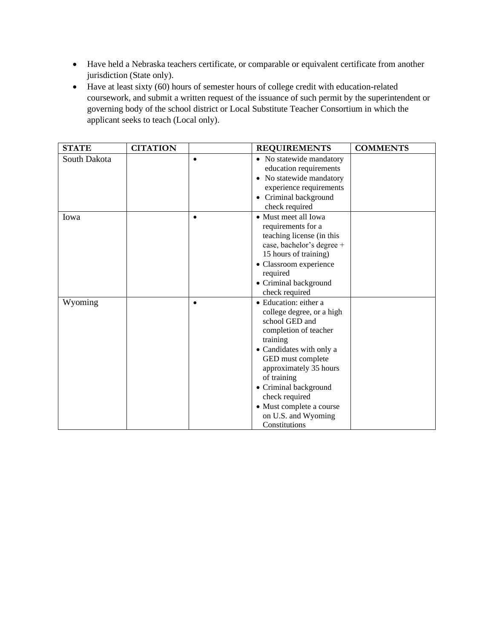- Have held a Nebraska teachers certificate, or comparable or equivalent certificate from another jurisdiction (State only).
- Have at least sixty (60) hours of semester hours of college credit with education-related coursework, and submit a written request of the issuance of such permit by the superintendent or governing body of the school district or Local Substitute Teacher Consortium in which the applicant seeks to teach (Local only).

| <b>STATE</b> | <b>CITATION</b> | <b>REQUIREMENTS</b>                                                                                                                                                                                                                                                                                                | <b>COMMENTS</b> |
|--------------|-----------------|--------------------------------------------------------------------------------------------------------------------------------------------------------------------------------------------------------------------------------------------------------------------------------------------------------------------|-----------------|
| South Dakota |                 | • No statewide mandatory<br>education requirements<br>• No statewide mandatory<br>experience requirements<br>• Criminal background<br>check required                                                                                                                                                               |                 |
| Iowa         |                 | • Must meet all Iowa<br>requirements for a<br>teaching license (in this<br>case, bachelor's degree +<br>15 hours of training)<br>• Classroom experience<br>required<br>• Criminal background<br>check required                                                                                                     |                 |
| Wyoming      |                 | • Education: either a<br>college degree, or a high<br>school GED and<br>completion of teacher<br>training<br>• Candidates with only a<br>GED must complete<br>approximately 35 hours<br>of training<br>• Criminal background<br>check required<br>• Must complete a course<br>on U.S. and Wyoming<br>Constitutions |                 |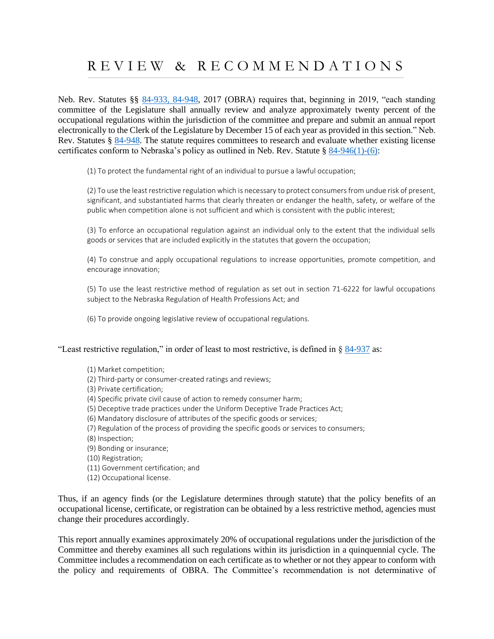# <span id="page-9-0"></span>R E V I E W & R E C O M M E N D A T I O N S

Neb. Rev. Statutes §§ [84-933, 84-948,](https://nebraskalegislature.gov/laws/display_html.php?begin_section=84-933&end_section=84-948) 2017 (OBRA) requires that, beginning in 2019, "each standing committee of the Legislature shall annually review and analyze approximately twenty percent of the occupational regulations within the jurisdiction of the committee and prepare and submit an annual report electronically to the Clerk of the Legislature by December 15 of each year as provided in this section." Neb. Rev. Statutes § [84-948.](https://nebraskalegislature.gov/laws/statutes.php?statute=84-948) The statute requires committees to research and evaluate whether existing license certificates conform to Nebraska's policy as outlined in Neb. Rev. Statute § [84-946\(1\)-\(6\):](https://nebraskalegislature.gov/laws/statutes.php?statute=84-946)

(1) To protect the fundamental right of an individual to pursue a lawful occupation;

(2) To use the least restrictive regulation which is necessary to protect consumers from undue risk of present, significant, and substantiated harms that clearly threaten or endanger the health, safety, or welfare of the public when competition alone is not sufficient and which is consistent with the public interest;

(3) To enforce an occupational regulation against an individual only to the extent that the individual sells goods or services that are included explicitly in the statutes that govern the occupation;

(4) To construe and apply occupational regulations to increase opportunities, promote competition, and encourage innovation;

(5) To use the least restrictive method of regulation as set out in section 71-6222 for lawful occupations subject to the Nebraska Regulation of Health Professions Act; and

(6) To provide ongoing legislative review of occupational regulations.

"Least restrictive regulation," in order of least to most restrictive, is defined in § [84-937](https://nebraskalegislature.gov/laws/statutes.php?statute=84-937) as:

- (1) Market competition;
- (2) Third-party or consumer-created ratings and reviews;

(3) Private certification;

- (4) Specific private civil cause of action to remedy consumer harm;
- (5) Deceptive trade practices under the Uniform Deceptive Trade Practices Act;
- (6) Mandatory disclosure of attributes of the specific goods or services;
- (7) Regulation of the process of providing the specific goods or services to consumers;

(8) Inspection;

- (9) Bonding or insurance;
- (10) Registration;
- (11) Government certification; and
- (12) Occupational license.

Thus, if an agency finds (or the Legislature determines through statute) that the policy benefits of an occupational license, certificate, or registration can be obtained by a less restrictive method, agencies must change their procedures accordingly.

This report annually examines approximately 20% of occupational regulations under the jurisdiction of the Committee and thereby examines all such regulations within its jurisdiction in a quinquennial cycle. The Committee includes a recommendation on each certificate as to whether or not they appear to conform with the policy and requirements of OBRA. The Committee's recommendation is not determinative of